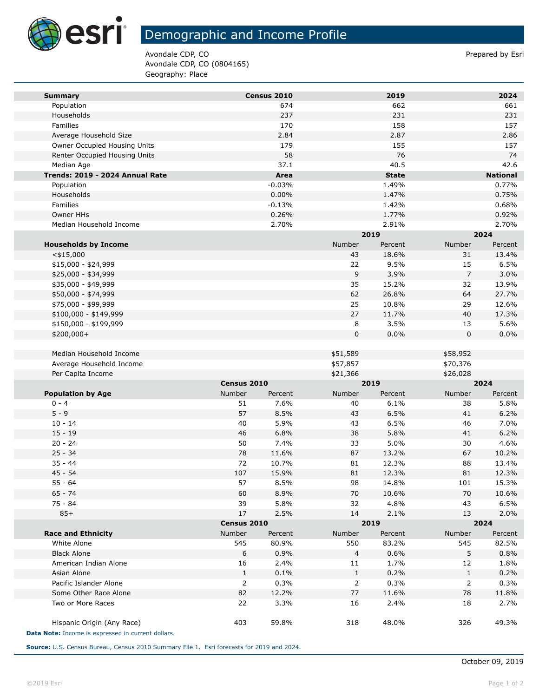

## Demographic and Income Profile

Avondale CDP, CO **Prepared by Estimate 2** Avondale CDP, CO (0804165) Geography: Place

| <b>Summary</b>                       |              | Census 2010    |                | 2019             |                | 2024             |
|--------------------------------------|--------------|----------------|----------------|------------------|----------------|------------------|
| Population                           |              | 674            |                | 662              |                | 661              |
| Households                           |              | 237            |                | 231              |                | 231              |
| Families                             |              | 170            |                | 158              |                | 157              |
| Average Household Size               |              | 2.84           |                | 2.87             |                | 2.86             |
| Owner Occupied Housing Units         |              | 179            |                | 155              |                | 157              |
| Renter Occupied Housing Units        |              | 58             |                | 76               |                | 74               |
| Median Age                           |              | 37.1           |                | 40.5             |                | 42.6             |
| Trends: 2019 - 2024 Annual Rate      |              | Area           |                | <b>State</b>     |                | <b>National</b>  |
| Population                           |              | $-0.03%$       |                | 1.49%            |                | 0.77%            |
| Households                           |              | 0.00%          |                | 1.47%            |                | 0.75%            |
| Families                             |              | $-0.13%$       |                | 1.42%            |                | 0.68%            |
| Owner HHs<br>Median Household Income |              | 0.26%<br>2.70% |                | 1.77%            |                | 0.92%            |
|                                      |              |                |                | 2.91%<br>2019    |                | 2.70%<br>2024    |
|                                      |              |                | Number         |                  | Number         |                  |
| <b>Households by Income</b>          |              |                | 43             | Percent<br>18.6% | 31             | Percent<br>13.4% |
| $<$ \$15,000<br>$$15,000 - $24,999$  |              |                | 22             | 9.5%             | 15             | 6.5%             |
| \$25,000 - \$34,999                  |              |                | 9              | 3.9%             | $\overline{7}$ | 3.0%             |
| \$35,000 - \$49,999                  |              |                | 35             | 15.2%            | 32             | 13.9%            |
| \$50,000 - \$74,999                  |              |                | 62             | 26.8%            | 64             | 27.7%            |
| \$75,000 - \$99,999                  |              |                | 25             | 10.8%            | 29             | 12.6%            |
| \$100,000 - \$149,999                |              |                | 27             | 11.7%            | 40             | 17.3%            |
| \$150,000 - \$199,999                |              |                | 8              | 3.5%             | 13             | 5.6%             |
| \$200,000+                           |              |                | $\mathbf 0$    | 0.0%             | $\mathbf 0$    | 0.0%             |
|                                      |              |                |                |                  |                |                  |
| Median Household Income              |              |                | \$51,589       |                  | \$58,952       |                  |
| Average Household Income             |              |                | \$57,857       |                  | \$70,376       |                  |
| Per Capita Income                    |              |                | \$21,366       |                  | \$26,028       |                  |
|                                      | Census 2010  |                |                | 2019             |                | 2024             |
| <b>Population by Age</b>             | Number       | Percent        | Number         | Percent          | Number         | Percent          |
| $0 - 4$                              | 51           | 7.6%           | 40             | 6.1%             | 38             | 5.8%             |
| $5 - 9$                              | 57           | 8.5%           | 43             | 6.5%             | 41             | 6.2%             |
| $10 - 14$                            | 40           | 5.9%           | 43             | 6.5%             | 46             | 7.0%             |
| $15 - 19$                            | 46           | 6.8%           | 38             | 5.8%             | 41             | 6.2%             |
| $20 - 24$                            | 50           | 7.4%           | 33             | 5.0%             | 30             | 4.6%             |
| $25 - 34$                            | 78           | 11.6%          | 87             | 13.2%            | 67             | 10.2%            |
| $35 - 44$                            | 72           | 10.7%          | 81             | 12.3%            | 88             | 13.4%            |
| $45 - 54$                            | 107          | 15.9%          | 81             | 12.3%            | 81             | 12.3%            |
| $55 - 64$                            | 57           | 8.5%           | 98             | 14.8%            | 101            | 15.3%            |
| $65 - 74$                            | 60           | 8.9%           | 70             | 10.6%            | 70             | 10.6%            |
| $75 - 84$                            | 39           | 5.8%           | 32             | 4.8%             | 43             | 6.5%             |
| $85+$                                | 17           | 2.5%           | 14             | 2.1%             | 13             | 2.0%             |
|                                      | Census 2010  |                |                | 2019             |                | 2024             |
| <b>Race and Ethnicity</b>            | Number       | Percent        | Number         | Percent          | Number         | Percent          |
| White Alone                          | 545          | 80.9%          | 550            | 83.2%            | 545            | 82.5%            |
| <b>Black Alone</b>                   | 6            | 0.9%           | $\overline{a}$ | 0.6%             | 5              | 0.8%             |
|                                      |              | 2.4%           | 11             | 1.7%             | 12             | 1.8%             |
| American Indian Alone                | 16           |                |                |                  |                |                  |
| Asian Alone                          | $\mathbf{1}$ | 0.1%           | $\mathbf{1}$   | 0.2%             | $\mathbf{1}$   | 0.2%             |
| Pacific Islander Alone               | 2            | 0.3%           | $\overline{2}$ | 0.3%             | $\overline{2}$ | 0.3%             |
| Some Other Race Alone                | 82           | 12.2%          | 77             | 11.6%            | 78             | 11.8%            |
| Two or More Races                    | 22           | 3.3%           | 16             | 2.4%             | 18             | 2.7%             |

**Source:** U.S. Census Bureau, Census 2010 Summary File 1. Esri forecasts for 2019 and 2024.